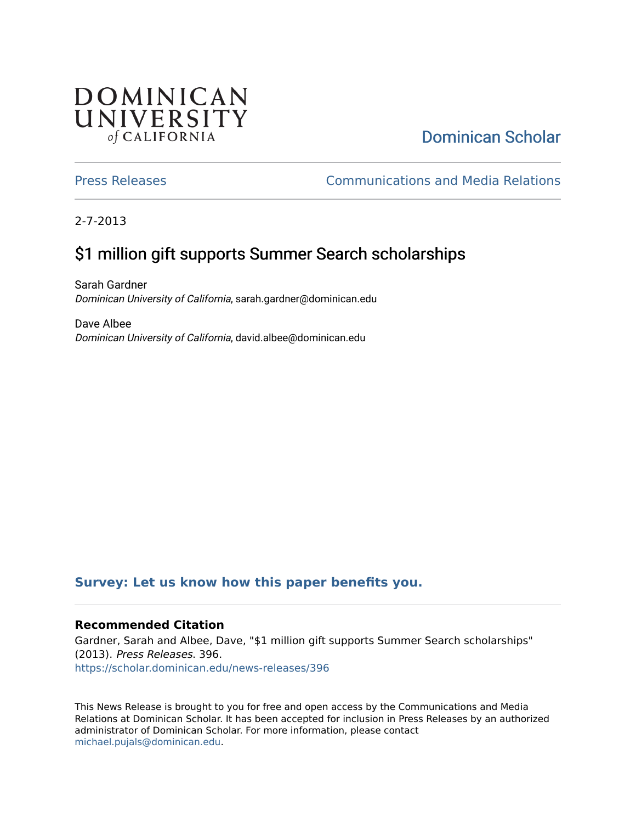## **DOMINICAN** UNIVERSITY of CALIFORNIA

## [Dominican Scholar](https://scholar.dominican.edu/)

[Press Releases](https://scholar.dominican.edu/news-releases) [Communications and Media Relations](https://scholar.dominican.edu/communications-media) 

2-7-2013

# \$1 million gift supports Summer Search scholarships

Sarah Gardner Dominican University of California, sarah.gardner@dominican.edu

Dave Albee Dominican University of California, david.albee@dominican.edu

### **[Survey: Let us know how this paper benefits you.](https://dominican.libwizard.com/dominican-scholar-feedback)**

#### **Recommended Citation**

Gardner, Sarah and Albee, Dave, "\$1 million gift supports Summer Search scholarships" (2013). Press Releases. 396. [https://scholar.dominican.edu/news-releases/396](https://scholar.dominican.edu/news-releases/396?utm_source=scholar.dominican.edu%2Fnews-releases%2F396&utm_medium=PDF&utm_campaign=PDFCoverPages)

This News Release is brought to you for free and open access by the Communications and Media Relations at Dominican Scholar. It has been accepted for inclusion in Press Releases by an authorized administrator of Dominican Scholar. For more information, please contact [michael.pujals@dominican.edu.](mailto:michael.pujals@dominican.edu)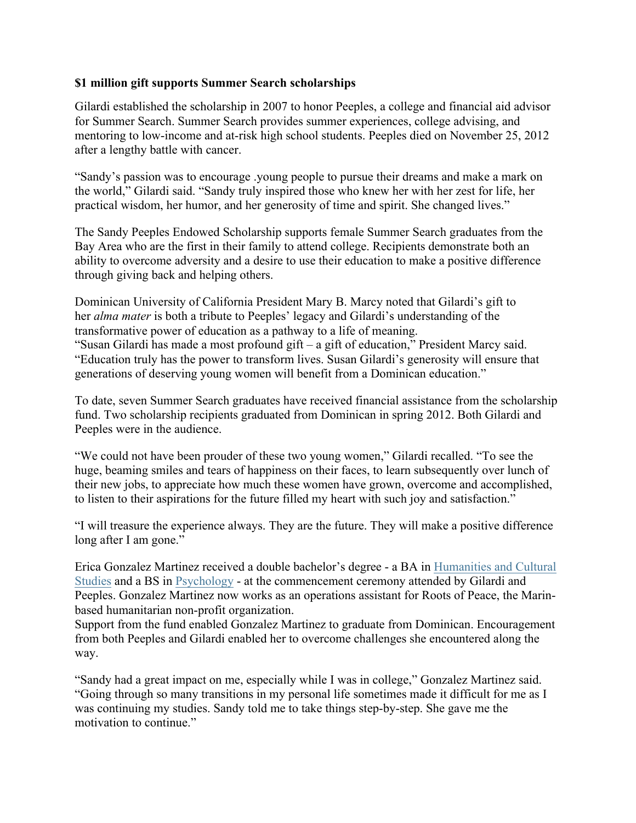#### **\$1 million gift supports Summer Search scholarships**

Gilardi established the scholarship in 2007 to honor Peeples, a college and financial aid advisor for Summer Search. Summer Search provides summer experiences, college advising, and mentoring to low-income and at-risk high school students. Peeples died on November 25, 2012 after a lengthy battle with cancer.

"Sandy's passion was to encourage .young people to pursue their dreams and make a mark on the world," Gilardi said. "Sandy truly inspired those who knew her with her zest for life, her practical wisdom, her humor, and her generosity of time and spirit. She changed lives."

The Sandy Peeples Endowed Scholarship supports female Summer Search graduates from the Bay Area who are the first in their family to attend college. Recipients demonstrate both an ability to overcome adversity and a desire to use their education to make a positive difference through giving back and helping others.

Dominican University of California President Mary B. Marcy noted that Gilardi's gift to her *alma mater* is both a tribute to Peeples' legacy and Gilardi's understanding of the transformative power of education as a pathway to a life of meaning. "Susan Gilardi has made a most profound gift – a gift of education," President Marcy said. "Education truly has the power to transform lives. Susan Gilardi's generosity will ensure that generations of deserving young women will benefit from a Dominican education."

To date, seven Summer Search graduates have received financial assistance from the scholarship fund. Two scholarship recipients graduated from Dominican in spring 2012. Both Gilardi and Peeples were in the audience.

"We could not have been prouder of these two young women," Gilardi recalled. "To see the huge, beaming smiles and tears of happiness on their faces, to learn subsequently over lunch of their new jobs, to appreciate how much these women have grown, overcome and accomplished, to listen to their aspirations for the future filled my heart with such joy and satisfaction."

"I will treasure the experience always. They are the future. They will make a positive difference long after I am gone."

Erica Gonzalez Martinez received a double bachelor's degree - a BA in Humanities and Cultural Studies and a BS in Psychology - at the commencement ceremony attended by Gilardi and Peeples. Gonzalez Martinez now works as an operations assistant for Roots of Peace, the Marinbased humanitarian non-profit organization.

Support from the fund enabled Gonzalez Martinez to graduate from Dominican. Encouragement from both Peeples and Gilardi enabled her to overcome challenges she encountered along the way.

"Sandy had a great impact on me, especially while I was in college," Gonzalez Martinez said. "Going through so many transitions in my personal life sometimes made it difficult for me as I was continuing my studies. Sandy told me to take things step-by-step. She gave me the motivation to continue."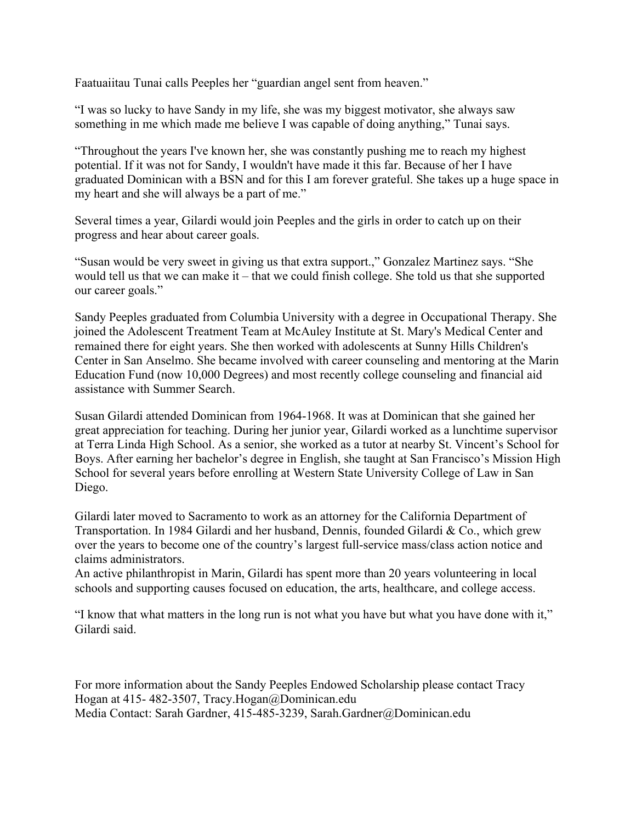Faatuaiitau Tunai calls Peeples her "guardian angel sent from heaven."

"I was so lucky to have Sandy in my life, she was my biggest motivator, she always saw something in me which made me believe I was capable of doing anything," Tunai says.

"Throughout the years I've known her, she was constantly pushing me to reach my highest potential. If it was not for Sandy, I wouldn't have made it this far. Because of her I have graduated Dominican with a BSN and for this I am forever grateful. She takes up a huge space in my heart and she will always be a part of me."

Several times a year, Gilardi would join Peeples and the girls in order to catch up on their progress and hear about career goals.

"Susan would be very sweet in giving us that extra support.," Gonzalez Martinez says. "She would tell us that we can make it – that we could finish college. She told us that she supported our career goals."

Sandy Peeples graduated from Columbia University with a degree in Occupational Therapy. She joined the Adolescent Treatment Team at McAuley Institute at St. Mary's Medical Center and remained there for eight years. She then worked with adolescents at Sunny Hills Children's Center in San Anselmo. She became involved with career counseling and mentoring at the Marin Education Fund (now 10,000 Degrees) and most recently college counseling and financial aid assistance with Summer Search.

Susan Gilardi attended Dominican from 1964-1968. It was at Dominican that she gained her great appreciation for teaching. During her junior year, Gilardi worked as a lunchtime supervisor at Terra Linda High School. As a senior, she worked as a tutor at nearby St. Vincent's School for Boys. After earning her bachelor's degree in English, she taught at San Francisco's Mission High School for several years before enrolling at Western State University College of Law in San Diego.

Gilardi later moved to Sacramento to work as an attorney for the California Department of Transportation. In 1984 Gilardi and her husband, Dennis, founded Gilardi & Co., which grew over the years to become one of the country's largest full-service mass/class action notice and claims administrators.

An active philanthropist in Marin, Gilardi has spent more than 20 years volunteering in local schools and supporting causes focused on education, the arts, healthcare, and college access.

"I know that what matters in the long run is not what you have but what you have done with it," Gilardi said.

For more information about the Sandy Peeples Endowed Scholarship please contact Tracy Hogan at 415- 482-3507, Tracy.Hogan@Dominican.edu Media Contact: Sarah Gardner, 415-485-3239, Sarah.Gardner@Dominican.edu